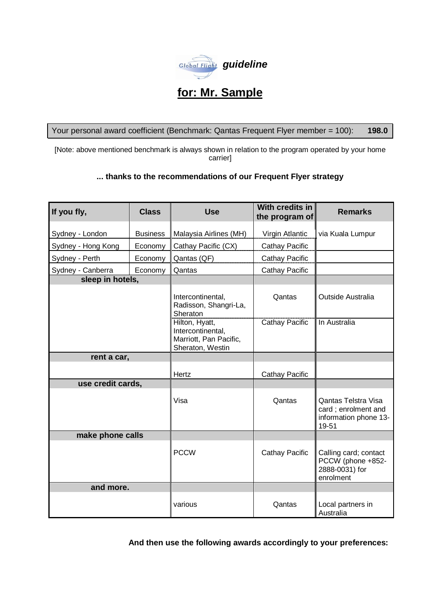

# **for: Mr. Sample**

Your personal award coefficient (Benchmark: Qantas Frequent Flyer member = 100): **198.0**

[Note: above mentioned benchmark is always shown in relation to the program operated by your home carrier]

## **... thanks to the recommendations of our Frequent Flyer strategy**

| If you fly,        | <b>Class</b>    | <b>Use</b>                                                                        | With credits in<br>the program of | <b>Remarks</b>                                                               |
|--------------------|-----------------|-----------------------------------------------------------------------------------|-----------------------------------|------------------------------------------------------------------------------|
| Sydney - London    | <b>Business</b> | <b>Malaysia Airlines (MH)</b>                                                     | Virgin Atlantic                   | via Kuala Lumpur                                                             |
| Sydney - Hong Kong | Economy         | Cathay Pacific (CX)                                                               | <b>Cathay Pacific</b>             |                                                                              |
| Sydney - Perth     | Economy         | Qantas (QF)                                                                       | <b>Cathay Pacific</b>             |                                                                              |
| Sydney - Canberra  | Economy         | Qantas                                                                            | <b>Cathay Pacific</b>             |                                                                              |
| sleep in hotels,   |                 |                                                                                   |                                   |                                                                              |
|                    |                 | Intercontinental,<br>Radisson, Shangri-La,<br>Sheraton                            | Qantas                            | Outside Australia                                                            |
|                    |                 | Hilton, Hyatt,<br>Intercontinental,<br>Marriott, Pan Pacific,<br>Sheraton, Westin | Cathay Pacific                    | In Australia                                                                 |
| rent a car,        |                 |                                                                                   |                                   |                                                                              |
|                    |                 | Hertz                                                                             | <b>Cathay Pacific</b>             |                                                                              |
| use credit cards,  |                 |                                                                                   |                                   |                                                                              |
|                    |                 | Visa                                                                              | Qantas                            | Qantas Telstra Visa<br>card; enrolment and<br>information phone 13-<br>19-51 |
| make phone calls   |                 |                                                                                   |                                   |                                                                              |
|                    |                 | <b>PCCW</b>                                                                       | <b>Cathay Pacific</b>             | Calling card; contact<br>PCCW (phone +852-<br>2888-0031) for<br>enrolment    |
| and more.          |                 |                                                                                   |                                   |                                                                              |
|                    |                 | various                                                                           | Qantas                            | Local partners in<br>Australia                                               |

**And then use the following awards accordingly to your preferences:**